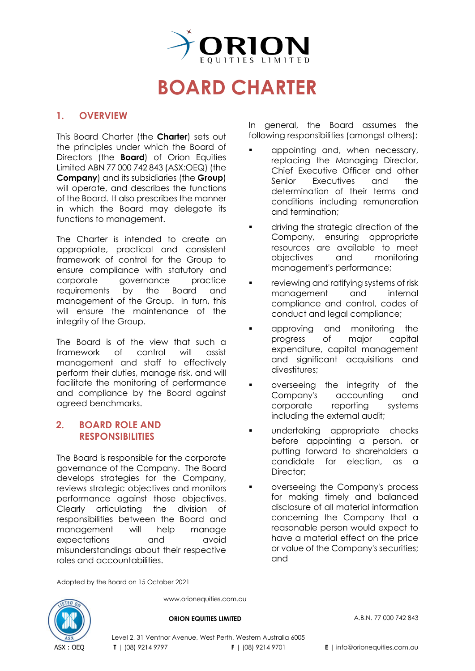

# **BOARD CHARTER**

#### **1. OVERVIEW**

This Board Charter (the **Charter**) sets out the principles under which the Board of Directors (the **Board**) of Orion Equities Limited ABN 77 000 742 843 (ASX[:OEQ\)](https://www2.asx.com.au/markets/company/oeq) (the **Company**) and its subsidiaries (the **Group**) will operate, and describes the functions of the Board. It also prescribes the manner in which the Board may delegate its functions to management.

The Charter is intended to create an appropriate, practical and consistent framework of control for the Group to ensure compliance with statutory and corporate governance practice requirements by the Board and management of the Group. In turn, this will ensure the maintenance of the integrity of the Group.

The Board is of the view that such a framework of control will assist management and staff to effectively perform their duties, manage risk, and will facilitate the monitoring of performance and compliance by the Board against agreed benchmarks.

#### **2. BOARD ROLE AND RESPONSIBILITIES**

The Board is responsible for the corporate governance of the Company. The Board develops strategies for the Company, reviews strategic objectives and monitors performance against those objectives. Clearly articulating the division of responsibilities between the Board and management will help manage expectations and avoid misunderstandings about their respective roles and accountabilities.

In general, the Board assumes the following responsibilities (amongst others):

- appointing and, when necessary, replacing the Managing Director, Chief Executive Officer and other<br>Senior Executives and the Executives and the determination of their terms and conditions including remuneration and termination;
- **driving the strategic direction of the** Company, ensuring appropriate resources are available to meet<br>objectives and monitorina objectives management's performance;
- **•** reviewing and ratifying systems of risk management and internal compliance and control, codes of conduct and legal compliance;
- **EXECUTE:** approving and monitoring the progress of major capital expenditure, capital management and significant acquisitions and divestitures;
- overseeing the integrity of the Company's accounting and corporate reporting systems including the external audit;
- **undertaking appropriate checks** before appointing a person, or putting forward to shareholders a candidate for election, as a Director:
- **•** overseeing the Company's process for making timely and balanced disclosure of all material information concerning the Company that a reasonable person would expect to have a material effect on the price or value of the Company's securities; and

Adopted by the Board on 15 October 2021



www.orionequities.com.au

**ORION EQUITIES LIMITED** A.B.N. 77 000 742 843

Level 2, 31 Ventnor Avenue, West Perth, Western Australia 6005 **T** | (08) 9214 9797 **F** | (08) 9214 9701 **E** | info@orionequities.com.au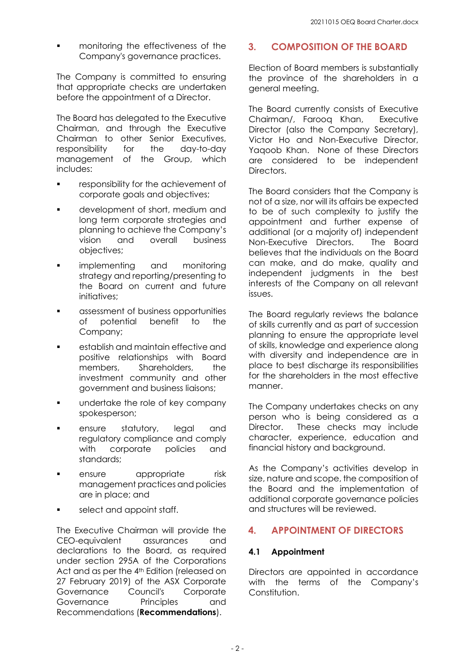monitoring the effectiveness of the Company's governance practices.

The Company is committed to ensuring that appropriate checks are undertaken before the appointment of a Director.

The Board has delegated to the Executive Chairman, and through the Executive Chairman to other Senior Executives, responsibility for the day-to-day management of the Group, which includes:

- **Fall endom** responsibility for the achievement of corporate goals and objectives;
- development of short, medium and long term corporate strategies and planning to achieve the Company's<br>vision and overall business business objectives;
- **Inducer implementing** and monitoring strategy and reporting/presenting to the Board on current and future initiatives:
- **a** assessment of business opportunities<br>of potential benefit to the of potential Company;
- **EXECTE:** establish and maintain effective and positive relationships with Board members, Shareholders, the investment community and other government and business liaisons;
- **undertake the role of key company** spokesperson;
- ensure statutory, legal and regulatory compliance and comply<br>with corporate policies and corporate policies and standards;
- ensure appropriate risk management practices and policies are in place; and
- select and appoint staff.

The Executive Chairman will provide the CEO-equivalent assurances and declarations to the Board, as required under [section 295A](http://www.austlii.edu.au/au/legis/cth/consol_act/ca2001172/s295a.html) of the Corporations Act and as per the 4<sup>th</sup> [Edition](https://www.asx.com.au/documents/regulation/cgc-principles-and-recommendations-fourth-edn.pdf) (released on 27 February 2019) of the [ASX Corporate](https://www2.asx.com.au/about/regulation/asx-corporate-governance-council)  [Governance Council's](https://www2.asx.com.au/about/regulation/asx-corporate-governance-council) Corporate Governance Principles and Recommendations (**Recommendations**).

# **3. COMPOSITION OF THE BOARD**

Election of Board members is substantially the province of the shareholders in a general meeting.

The Board currently consists of Executive Chairman/, Farooq Khan, Executive Director (also the Company Secretary), Victor Ho and Non-Executive Director, Yaqoob Khan. None of these Directors are considered to be independent Directors.

The Board considers that the Company is not of a size, nor will its affairs be expected to be of such complexity to justify the appointment and further expense of additional (or a majority of) independent Non-Executive Directors. The Board believes that the individuals on the Board can make, and do make, quality and independent judgments in the best interests of the Company on all relevant issues.

The Board regularly reviews the balance of skills currently and as part of succession planning to ensure the appropriate level of skills, knowledge and experience along with diversity and independence are in place to best discharge its responsibilities for the shareholders in the most effective manner.

The Company undertakes checks on any person who is being considered as a Director. These checks may include character, experience, education and financial history and background.

As the Company's activities develop in size, nature and scope, the composition of the Board and the implementation of additional corporate governance policies and structures will be reviewed.

# **4. APPOINTMENT OF DIRECTORS**

## **4.1 Appointment**

Directors are appointed in accordance with the terms of the Company's Constitution.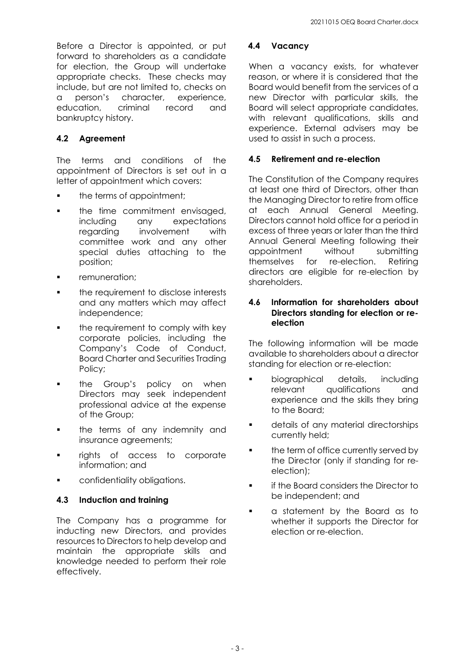Before a Director is appointed, or put forward to shareholders as a candidate for election, the Group will undertake appropriate checks. These checks may include, but are not limited to, checks on<br>a person's character, experience, a person's character, experience, education, criminal record and bankruptcy history.

# **4.2 Agreement**

The terms and conditions of the appointment of Directors is set out in a letter of appointment which covers:

- the terms of appointment;
- **the time commitment envisaged,** including any expectations regarding involvement with committee work and any other special duties attaching to the position;
- remuneration;
- **the requirement to disclose interests** and any matters which may affect independence;
- the requirement to comply with key corporate policies, including the Company's Code of Conduct, Board Charter and Securities Trading Policy;
- **the Group's policy on when** Directors may seek independent professional advice at the expense of the Group;
- the terms of any indemnity and insurance agreements;
- rights of access to corporate information; and
- confidentiality obligations.

## **4.3 Induction and training**

The Company has a programme for inducting new Directors, and provides resources to Directors to help develop and maintain the appropriate skills and knowledge needed to perform their role effectively.

#### **4.4 Vacancy**

When a vacancy exists, for whatever reason, or where it is considered that the Board would benefit from the services of a new Director with particular skills, the Board will select appropriate candidates, with relevant qualifications, skills and experience. External advisers may be used to assist in such a process.

#### **4.5 Retirement and re-election**

The Constitution of the Company requires at least one third of Directors, other than the Managing Director to retire from office at each Annual General Meeting. Directors cannot hold office for a period in excess of three years or later than the third Annual General Meeting following their appointment without submitting themselves for re-election. Retiring directors are eligible for re-election by shareholders.

#### **4.6 Information for shareholders about Directors standing for election or reelection**

The following information will be made available to shareholders about a director standing for election or re-election:

- **biographical details, including** relevant qualifications and experience and the skills they bring to the Board;
- details of any material directorships currently held;
- the term of office currently served by the Director (only if standing for reelection);
- **if the Board considers the Director to** be independent; and
- **a** a statement by the Board as to whether it supports the Director for election or re-election.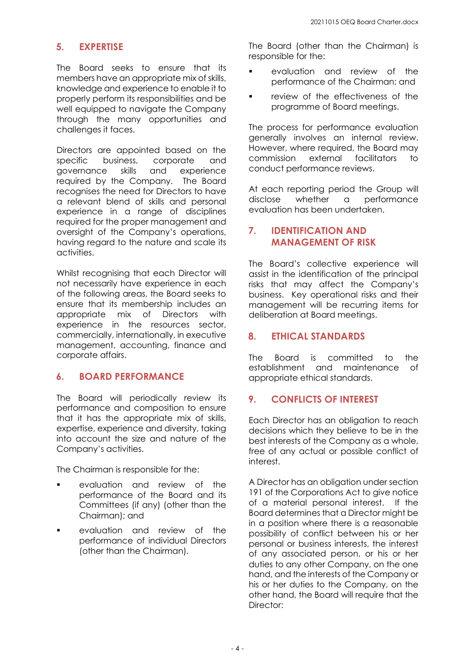# **5. EXPERTISE**

The Board seeks to ensure that its members have an appropriate mix of skills, knowledge and experience to enable it to properly perform its responsibilities and be well equipped to navigate the Company through the many opportunities and challenges it faces.

Directors are appointed based on the specific business, corporate and governance skills and experience required by the Company. The Board recognises the need for Directors to have a relevant blend of skills and personal experience in a range of disciplines required for the proper management and oversight of the Company's operations, having regard to the nature and scale its activities.

Whilst recognising that each Director will not necessarily have experience in each of the following areas, the Board seeks to ensure that its membership includes an appropriate mix of Directors with experience in the resources sector, commercially, internationally, in executive management, accounting, finance and corporate affairs.

## **6. BOARD PERFORMANCE**

The Board will periodically review its performance and composition to ensure that it has the appropriate mix of skills, expertise, experience and diversity, taking into account the size and nature of the Company's activities.

The Chairman is responsible for the:

- evaluation and review of the performance of the Board and its Committees (if any) (other than the Chairman); and
- evaluation and review of the performance of individual Directors (other than the Chairman).

The Board (other than the Chairman) is responsible for the:

- evaluation and review of the performance of the Chairman; and
- review of the effectiveness of the programme of Board meetings.

The process for performance evaluation generally involves an internal review. However, where required, the Board may<br>commission external facilitators to commission external facilitators to conduct performance reviews.

At each reporting period the Group will<br>disclose whether a performance disclose whether a performance evaluation has been undertaken.

## **7. IDENTIFICATION AND MANAGEMENT OF RISK**

The Board's collective experience will assist in the identification of the principal risks that may affect the Company's business. Key operational risks and their management will be recurring items for deliberation at Board meetings.

## **8. ETHICAL STANDARDS**

The Board is committed to the establishment and maintenance of appropriate ethical standards.

# **9. CONFLICTS OF INTEREST**

Each Director has an obligation to reach decisions which they believe to be in the best interests of the Company as a whole, free of any actual or possible conflict of interest.

A Director has an obligation under section 191 of the Corporations Act to give notice of a material personal interest. If the Board determines that a Director might be in a position where there is a reasonable possibility of conflict between his or her personal or business interests, the interest of any associated person, or his or her duties to any other Company, on the one hand, and the interests of the Company or his or her duties to the Company, on the other hand, the Board will require that the Director: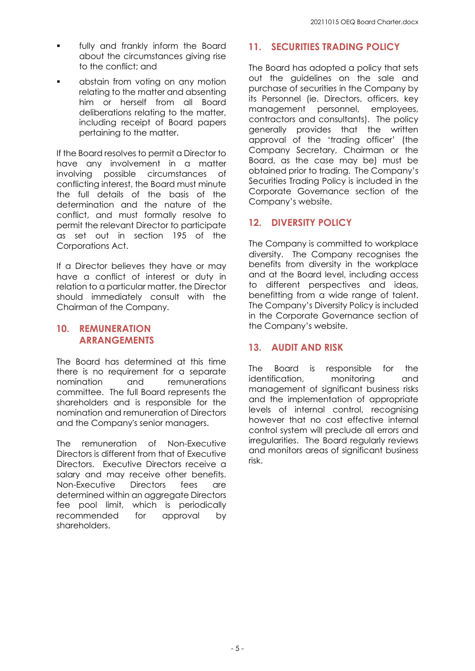- fully and frankly inform the Board about the circumstances giving rise to the conflict; and
- abstain from voting on any motion relating to the matter and absenting him or herself from all Board deliberations relating to the matter, including receipt of Board papers pertaining to the matter.

If the Board resolves to permit a Director to have any involvement in a matter<br>involvina possible circumstances of possible circumstances of conflicting interest, the Board must minute the full details of the basis of the determination and the nature of the conflict, and must formally resolve to permit the relevant Director to participate as set out in section 195 of the Corporations Act.

If a Director believes they have or may have a conflict of interest or duty in relation to a particular matter, the Director should immediately consult with the Chairman of the Company.

## **10. REMUNERATION ARRANGEMENTS**

The Board has determined at this time there is no requirement for a separate<br>nomination and remunerations remunerations committee. The full Board represents the shareholders and is responsible for the nomination and remuneration of Directors and the Company's senior managers.

The remuneration of Non-Executive Directors is different from that of Executive Directors. Executive Directors receive a salary and may receive other benefits. Non-Executive Directors fees are determined within an aggregate Directors fee pool limit, which is periodically recommended for approval by shareholders.

## **11. SECURITIES TRADING POLICY**

The Board has adopted a policy that sets out the guidelines on the sale and purchase of securities in the Company by its Personnel (ie. Directors, officers, key<br>management personnel, employees, management contractors and consultants). The policy generally provides that the written approval of the 'trading officer' (the Company Secretary, Chairman or the Board, as the case may be) must be obtained prior to trading. The Company's Securities Trading Policy is included in the Corporate Governance section of the Company's website.

# **12. DIVERSITY POLICY**

The Company is committed to workplace diversity. The Company recognises the benefits from diversity in the workplace and at the Board level, including access to different perspectives and ideas, benefitting from a wide range of talent. The Company's Diversity Policy is included in the Corporate Governance section of the Company's website.

## **13. AUDIT AND RISK**

The Board is responsible for the identification, monitoring and management of significant business risks and the implementation of appropriate levels of internal control, recognising however that no cost effective internal control system will preclude all errors and irregularities. The Board regularly reviews and monitors areas of significant business risk.